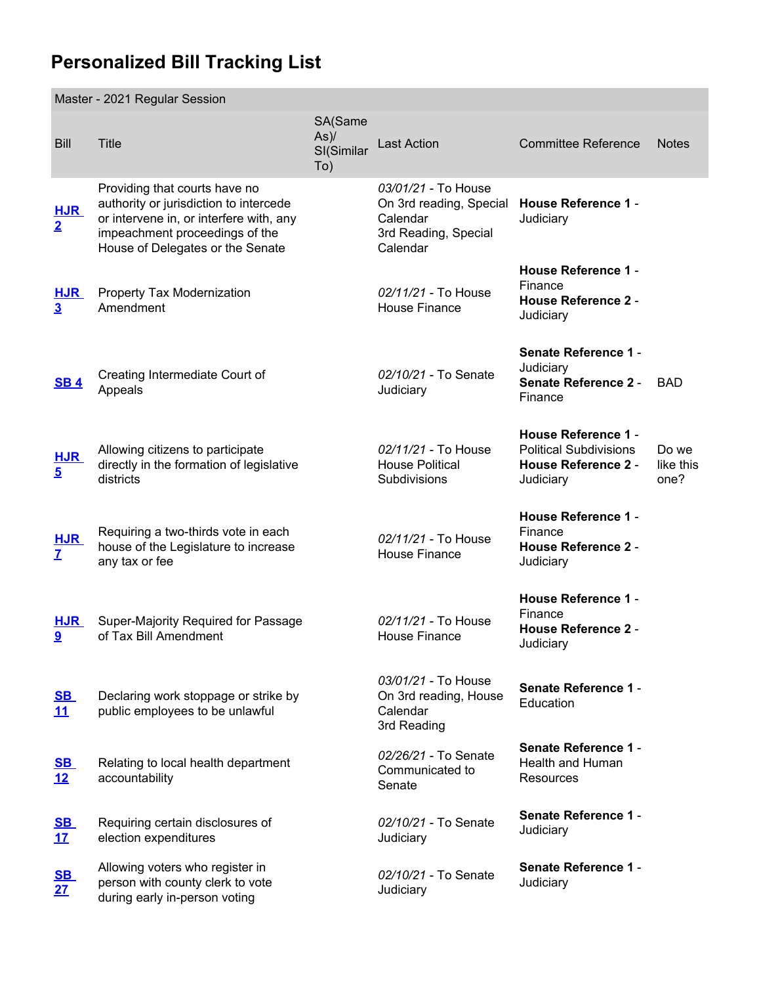## **Personalized Bill Tracking List**

|                              | Master - 2021 Regular Session                                                                                                                                                            |                                         |                                                                                                |                                                                                                        |                            |  |  |  |
|------------------------------|------------------------------------------------------------------------------------------------------------------------------------------------------------------------------------------|-----------------------------------------|------------------------------------------------------------------------------------------------|--------------------------------------------------------------------------------------------------------|----------------------------|--|--|--|
| <b>Bill</b>                  | <b>Title</b>                                                                                                                                                                             | SA(Same<br>$As$ )/<br>SI(Similar<br>To) | <b>Last Action</b>                                                                             | <b>Committee Reference</b>                                                                             | <b>Notes</b>               |  |  |  |
| <b>HJR</b><br>$\overline{2}$ | Providing that courts have no<br>authority or jurisdiction to intercede<br>or intervene in, or interfere with, any<br>impeachment proceedings of the<br>House of Delegates or the Senate |                                         | 03/01/21 - To House<br>On 3rd reading, Special<br>Calendar<br>3rd Reading, Special<br>Calendar | <b>House Reference 1 -</b><br>Judiciary                                                                |                            |  |  |  |
| <b>HJR</b><br>$\overline{3}$ | Property Tax Modernization<br>Amendment                                                                                                                                                  |                                         | 02/11/21 - To House<br><b>House Finance</b>                                                    | <b>House Reference 1 -</b><br>Finance<br><b>House Reference 2 -</b><br>Judiciary                       |                            |  |  |  |
| <b>SB4</b>                   | Creating Intermediate Court of<br>Appeals                                                                                                                                                |                                         | 02/10/21 - To Senate<br>Judiciary                                                              | <b>Senate Reference 1 -</b><br>Judiciary<br><b>Senate Reference 2 -</b><br>Finance                     | <b>BAD</b>                 |  |  |  |
| <b>HJR</b><br>$\overline{5}$ | Allowing citizens to participate<br>directly in the formation of legislative<br>districts                                                                                                |                                         | 02/11/21 - To House<br><b>House Political</b><br><b>Subdivisions</b>                           | <b>House Reference 1 -</b><br><b>Political Subdivisions</b><br><b>House Reference 2 -</b><br>Judiciary | Do we<br>like this<br>one? |  |  |  |
| $rac{\text{HJR}}{\text{Z}}$  | Requiring a two-thirds vote in each<br>house of the Legislature to increase<br>any tax or fee                                                                                            |                                         | 02/11/21 - To House<br><b>House Finance</b>                                                    | <b>House Reference 1 -</b><br>Finance<br><b>House Reference 2 -</b><br>Judiciary                       |                            |  |  |  |
| <b>HJR</b><br>9              | Super-Majority Required for Passage<br>of Tax Bill Amendment                                                                                                                             |                                         | 02/11/21 - To House<br><b>House Finance</b>                                                    | <b>House Reference 1 -</b><br>Finance<br><b>House Reference 2 -</b><br>Judiciary                       |                            |  |  |  |
| <u>SB</u><br>11              | Declaring work stoppage or strike by<br>public employees to be unlawful                                                                                                                  |                                         | 03/01/21 - To House<br>On 3rd reading, House<br>Calendar<br>3rd Reading                        | <b>Senate Reference 1 -</b><br>Education                                                               |                            |  |  |  |
| <u>SB</u><br>12              | Relating to local health department<br>accountability                                                                                                                                    |                                         | 02/26/21 - To Senate<br>Communicated to<br>Senate                                              | <b>Senate Reference 1 -</b><br>Health and Human<br>Resources                                           |                            |  |  |  |
| <u>SB</u><br>17              | Requiring certain disclosures of<br>election expenditures                                                                                                                                |                                         | 02/10/21 - To Senate<br>Judiciary                                                              | <b>Senate Reference 1 -</b><br>Judiciary                                                               |                            |  |  |  |
| $rac{\text{SB}}{27}$         | Allowing voters who register in<br>person with county clerk to vote<br>during early in-person voting                                                                                     |                                         | 02/10/21 - To Senate<br>Judiciary                                                              | <b>Senate Reference 1 -</b><br>Judiciary                                                               |                            |  |  |  |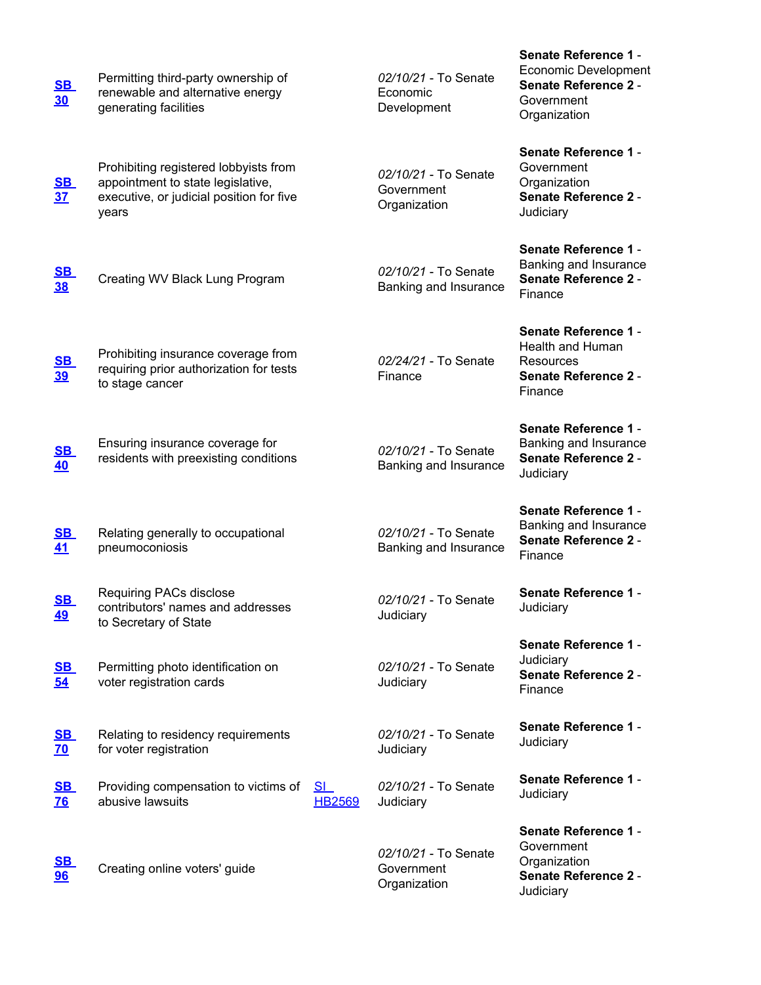| <u>SB</u><br>30             | Permitting third-party ownership of<br>renewable and alternative energy<br>generating facilities                                |                            | 02/10/21 - To Senate<br>Economic<br>Development    | <b>Senate Reference 1 -</b><br><b>Economic Development</b><br><b>Senate Reference 2 -</b><br>Government<br>Organization |
|-----------------------------|---------------------------------------------------------------------------------------------------------------------------------|----------------------------|----------------------------------------------------|-------------------------------------------------------------------------------------------------------------------------|
| <u>SB</u><br>37             | Prohibiting registered lobbyists from<br>appointment to state legislative,<br>executive, or judicial position for five<br>years |                            | 02/10/21 - To Senate<br>Government<br>Organization | <b>Senate Reference 1 -</b><br>Government<br>Organization<br><b>Senate Reference 2 -</b><br>Judiciary                   |
| <u>SB</u><br><b>38</b>      | Creating WV Black Lung Program                                                                                                  |                            | 02/10/21 - To Senate<br>Banking and Insurance      | <b>Senate Reference 1 -</b><br>Banking and Insurance<br><b>Senate Reference 2 -</b><br>Finance                          |
| <u>SB</u><br><u>39</u>      | Prohibiting insurance coverage from<br>requiring prior authorization for tests<br>to stage cancer                               |                            | 02/24/21 - To Senate<br>Finance                    | <b>Senate Reference 1 -</b><br>Health and Human<br>Resources<br><b>Senate Reference 2 -</b><br>Finance                  |
| <u>SB</u><br>40             | Ensuring insurance coverage for<br>residents with preexisting conditions                                                        |                            | 02/10/21 - To Senate<br>Banking and Insurance      | <b>Senate Reference 1 -</b><br>Banking and Insurance<br><b>Senate Reference 2 -</b><br>Judiciary                        |
| <u>SB</u><br>41             | Relating generally to occupational<br>pneumoconiosis                                                                            |                            | 02/10/21 - To Senate<br>Banking and Insurance      | <b>Senate Reference 1 -</b><br>Banking and Insurance<br><b>Senate Reference 2 -</b><br>Finance                          |
| S <sub>B</sub><br><u>49</u> | Requiring PACs disclose<br>contributors' names and addresses<br>to Secretary of State                                           |                            | 02/10/21 - To Senate<br>Judiciary                  | <b>Senate Reference 1 -</b><br>Judiciary                                                                                |
| <u>SB</u><br>54             | Permitting photo identification on<br>voter registration cards                                                                  |                            | 02/10/21 - To Senate<br>Judiciary                  | <b>Senate Reference 1 -</b><br>Judiciary<br><b>Senate Reference 2 -</b><br>Finance                                      |
| <u>SB</u><br><b>70</b>      | Relating to residency requirements<br>for voter registration                                                                    |                            | 02/10/21 - To Senate<br>Judiciary                  | <b>Senate Reference 1 -</b><br>Judiciary                                                                                |
| <u>SB</u><br><u>76</u>      | Providing compensation to victims of<br>abusive lawsuits                                                                        | <u>SL</u><br><b>HB2569</b> | 02/10/21 - To Senate<br>Judiciary                  | <b>Senate Reference 1 -</b><br>Judiciary                                                                                |
| <u>SB</u><br>96             | Creating online voters' guide                                                                                                   |                            | 02/10/21 - To Senate<br>Government<br>Organization | <b>Senate Reference 1 -</b><br>Government<br>Organization<br><b>Senate Reference 2 -</b><br>Judiciary                   |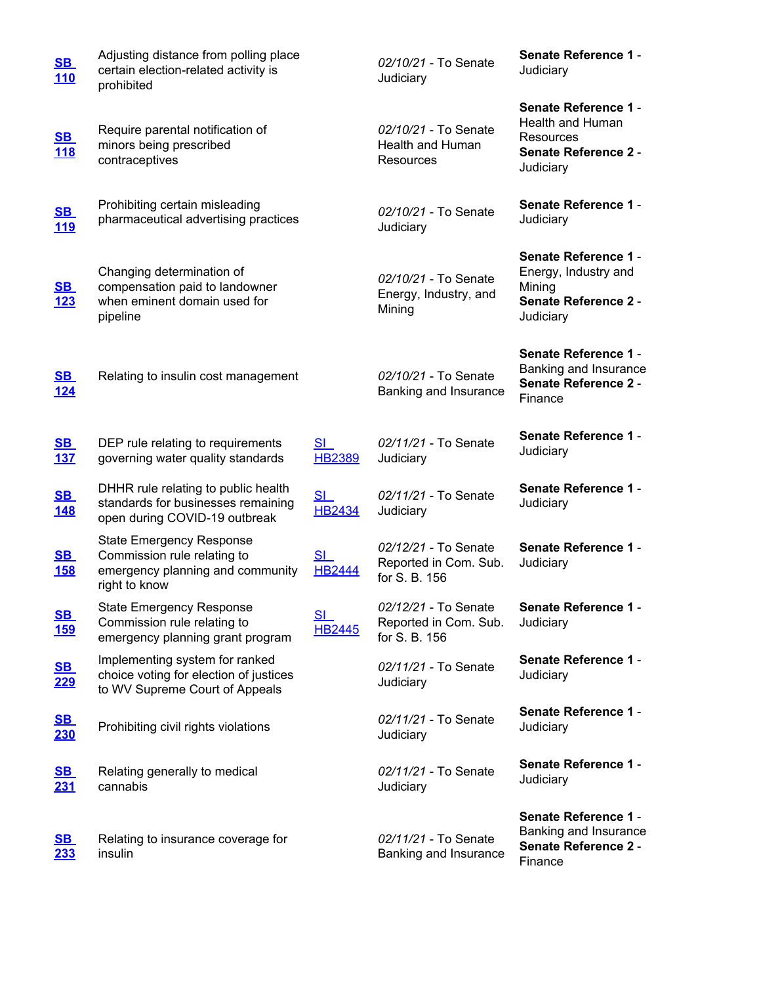| <u>SB</u><br>110                      | Adjusting distance from polling place<br>certain election-related activity is<br>prohibited                         |                                 | 02/10/21 - To Senate<br>Judiciary                              | <b>Senate Reference 1 -</b><br>Judiciary                                                                        |
|---------------------------------------|---------------------------------------------------------------------------------------------------------------------|---------------------------------|----------------------------------------------------------------|-----------------------------------------------------------------------------------------------------------------|
| <u>SB</u><br><u>118</u>               | Require parental notification of<br>minors being prescribed<br>contraceptives                                       |                                 | 02/10/21 - To Senate<br>Health and Human<br>Resources          | <b>Senate Reference 1 -</b><br><b>Health and Human</b><br>Resources<br><b>Senate Reference 2 -</b><br>Judiciary |
| <u>SB</u><br><u>119</u>               | Prohibiting certain misleading<br>pharmaceutical advertising practices                                              |                                 | 02/10/21 - To Senate<br>Judiciary                              | <b>Senate Reference 1 -</b><br>Judiciary                                                                        |
| $\underline{\text{SB}}$<br><u>123</u> | Changing determination of<br>compensation paid to landowner<br>when eminent domain used for<br>pipeline             |                                 | 02/10/21 - To Senate<br>Energy, Industry, and<br>Mining        | <b>Senate Reference 1 -</b><br>Energy, Industry and<br>Mining<br><b>Senate Reference 2 -</b><br>Judiciary       |
| S <sub>B</sub><br><u>124</u>          | Relating to insulin cost management                                                                                 |                                 | 02/10/21 - To Senate<br>Banking and Insurance                  | <b>Senate Reference 1 -</b><br>Banking and Insurance<br><b>Senate Reference 2 -</b><br>Finance                  |
| S <sub>B</sub><br><u>137</u>          | DEP rule relating to requirements<br>governing water quality standards                                              | SI<br><b>HB2389</b>             | 02/11/21 - To Senate<br>Judiciary                              | <b>Senate Reference 1 -</b><br>Judiciary                                                                        |
| <u>SB</u><br><u>148</u>               | DHHR rule relating to public health<br>standards for businesses remaining<br>open during COVID-19 outbreak          | S <sub>1</sub><br><b>HB2434</b> | 02/11/21 - To Senate<br>Judiciary                              | <b>Senate Reference 1 -</b><br>Judiciary                                                                        |
| S <sub>B</sub><br><u>158</u>          | <b>State Emergency Response</b><br>Commission rule relating to<br>emergency planning and community<br>right to know | S <sub>1</sub><br><b>HB2444</b> | 02/12/21 - To Senate<br>Reported in Com. Sub.<br>for S. B. 156 | <b>Senate Reference 1 -</b><br>Judiciary                                                                        |
| $\underline{\text{SB}}$<br><u>159</u> | <b>State Emergency Response</b><br>Commission rule relating to<br>emergency planning grant program                  | S <sub>L</sub><br><b>HB2445</b> | 02/12/21 - To Senate<br>Reported in Com. Sub.<br>for S. B. 156 | Senate Reference 1 -<br>Judiciary                                                                               |
| <u>SB</u><br><u> 229</u>              | Implementing system for ranked<br>choice voting for election of justices<br>to WV Supreme Court of Appeals          |                                 | 02/11/21 - To Senate<br>Judiciary                              | <b>Senate Reference 1 -</b><br>Judiciary                                                                        |
| <u>SB</u><br><u>230</u>               | Prohibiting civil rights violations                                                                                 |                                 | 02/11/21 - To Senate<br>Judiciary                              | <b>Senate Reference 1 -</b><br>Judiciary                                                                        |
| <u>SB</u><br>231                      | Relating generally to medical<br>cannabis                                                                           |                                 | 02/11/21 - To Senate<br>Judiciary                              | <b>Senate Reference 1 -</b><br>Judiciary                                                                        |
| <u>SB</u><br><u>233</u>               | Relating to insurance coverage for<br>insulin                                                                       |                                 | 02/11/21 - To Senate<br>Banking and Insurance                  | <b>Senate Reference 1 -</b><br>Banking and Insurance<br><b>Senate Reference 2 -</b><br>Finance                  |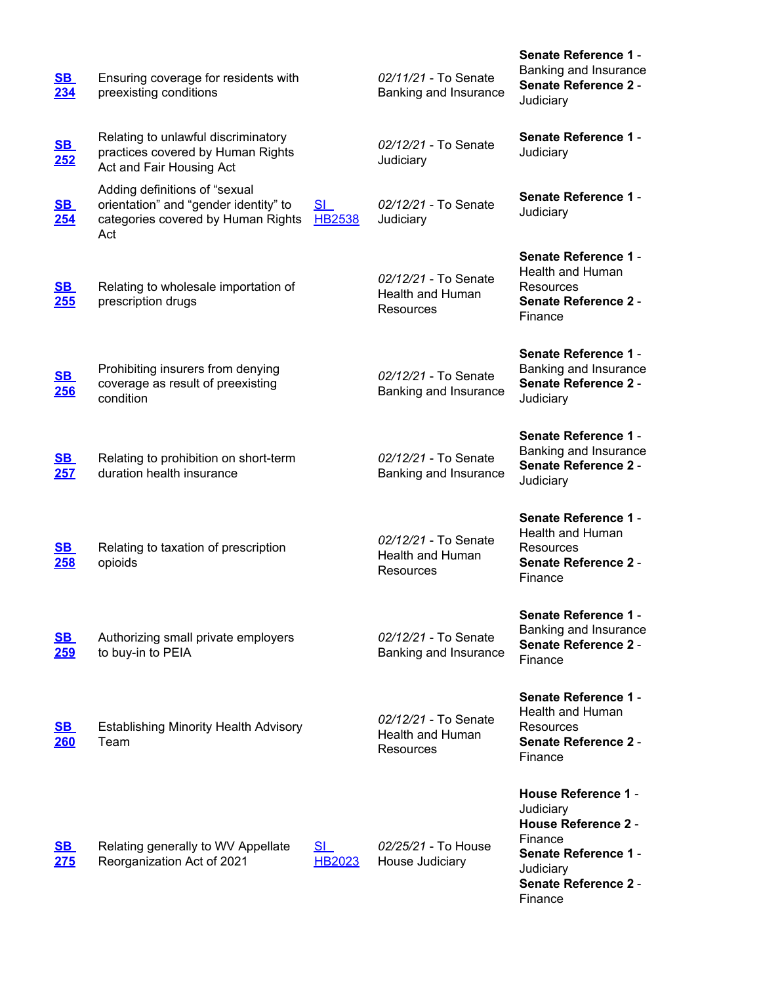| $\underline{\text{SB}}$<br>234 | Ensuring coverage for residents with<br>preexisting conditions                                                      |                            | 02/11/21 - To Senate<br>Banking and Insurance                | <b>Senate Reference 1 -</b><br>Banking and Insurance<br><b>Senate Reference 2 -</b><br>Judiciary                                                                       |
|--------------------------------|---------------------------------------------------------------------------------------------------------------------|----------------------------|--------------------------------------------------------------|------------------------------------------------------------------------------------------------------------------------------------------------------------------------|
| <u>SB</u><br><u>252</u>        | Relating to unlawful discriminatory<br>practices covered by Human Rights<br>Act and Fair Housing Act                |                            | 02/12/21 - To Senate<br>Judiciary                            | Senate Reference 1 -<br>Judiciary                                                                                                                                      |
| <u>SB</u><br>254               | Adding definitions of "sexual<br>orientation" and "gender identity" to<br>categories covered by Human Rights<br>Act | SI<br><b>HB2538</b>        | 02/12/21 - To Senate<br>Judiciary                            | Senate Reference 1 -<br>Judiciary                                                                                                                                      |
| $\underline{\text{SB}}$<br>255 | Relating to wholesale importation of<br>prescription drugs                                                          |                            | 02/12/21 - To Senate<br>Health and Human<br>Resources        | <b>Senate Reference 1 -</b><br>Health and Human<br>Resources<br><b>Senate Reference 2 -</b><br>Finance                                                                 |
| <u>SB</u><br><u>256</u>        | Prohibiting insurers from denying<br>coverage as result of preexisting<br>condition                                 |                            | 02/12/21 - To Senate<br>Banking and Insurance                | <b>Senate Reference 1 -</b><br>Banking and Insurance<br><b>Senate Reference 2 -</b><br>Judiciary                                                                       |
| <u>SB</u><br>257               | Relating to prohibition on short-term<br>duration health insurance                                                  |                            | 02/12/21 - To Senate<br>Banking and Insurance                | <b>Senate Reference 1 -</b><br>Banking and Insurance<br><b>Senate Reference 2 -</b><br>Judiciary                                                                       |
| <u>SB</u><br><b>258</b>        | Relating to taxation of prescription<br>opioids                                                                     |                            | 02/12/21 - To Senate<br>Health and Human<br>Resources        | <b>Senate Reference 1 -</b><br>Health and Human<br><b>Resources</b><br><b>Senate Reference 2 -</b><br>Finance                                                          |
| <u>SB</u><br><b>259</b>        | Authorizing small private employers<br>to buy-in to PEIA                                                            |                            | 02/12/21 - To Senate<br>Banking and Insurance                | <b>Senate Reference 1 -</b><br>Banking and Insurance<br><b>Senate Reference 2 -</b><br>Finance                                                                         |
| <u>SB</u><br><b>260</b>        | <b>Establishing Minority Health Advisory</b><br>Team                                                                |                            | 02/12/21 - To Senate<br><b>Health and Human</b><br>Resources | <b>Senate Reference 1 -</b><br><b>Health and Human</b><br><b>Resources</b><br><b>Senate Reference 2 -</b><br>Finance                                                   |
| <u>SB</u><br>275               | Relating generally to WV Appellate<br>Reorganization Act of 2021                                                    | <u>SI</u><br><b>HB2023</b> | 02/25/21 - To House<br>House Judiciary                       | <b>House Reference 1 -</b><br>Judiciary<br><b>House Reference 2 -</b><br>Finance<br><b>Senate Reference 1 -</b><br>Judiciary<br><b>Senate Reference 2 -</b><br>Finance |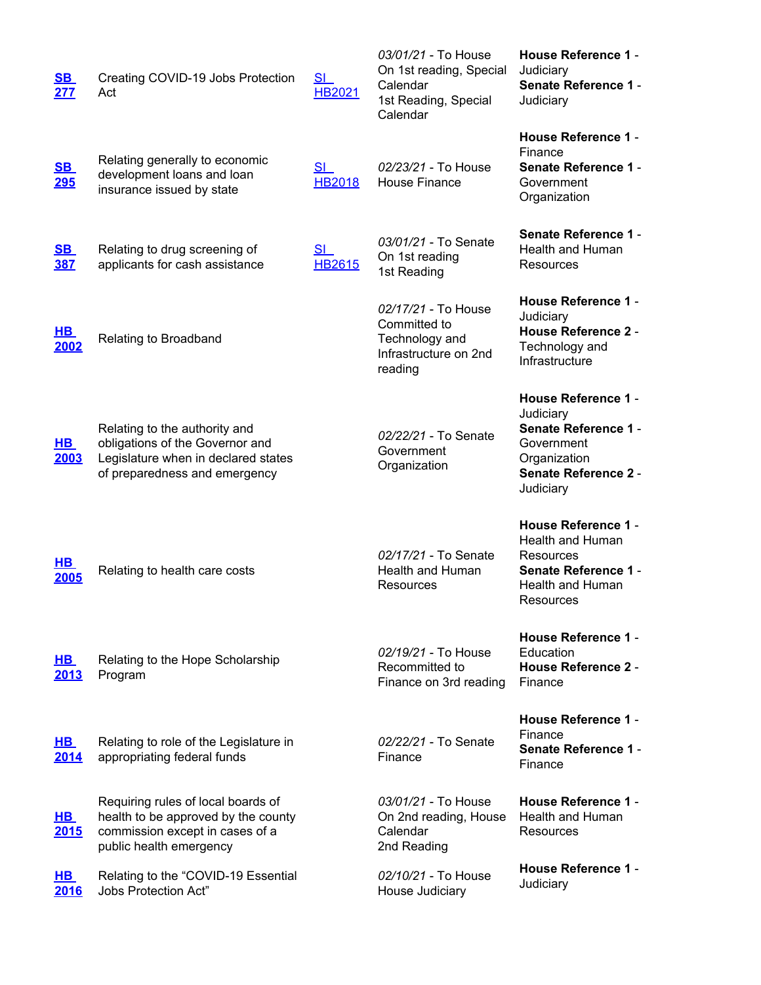| <u>SB</u><br>277               | Creating COVID-19 Jobs Protection<br>Act                                                                                                 | <u>SI</u><br><b>HB2021</b> | 03/01/21 - To House<br>On 1st reading, Special<br>Calendar<br>1st Reading, Special<br>Calendar | <b>House Reference 1 -</b><br>Judiciary<br><b>Senate Reference 1 -</b><br>Judiciary                                                              |
|--------------------------------|------------------------------------------------------------------------------------------------------------------------------------------|----------------------------|------------------------------------------------------------------------------------------------|--------------------------------------------------------------------------------------------------------------------------------------------------|
| <u>SB</u><br><b>295</b>        | Relating generally to economic<br>development loans and loan<br>insurance issued by state                                                | SI<br><b>HB2018</b>        | 02/23/21 - To House<br><b>House Finance</b>                                                    | <b>House Reference 1 -</b><br>Finance<br><b>Senate Reference 1 -</b><br>Government<br>Organization                                               |
| $\underline{\text{SB}}$<br>387 | Relating to drug screening of<br>applicants for cash assistance                                                                          | SI<br><b>HB2615</b>        | 03/01/21 - To Senate<br>On 1st reading<br>1st Reading                                          | Senate Reference 1 -<br>Health and Human<br>Resources                                                                                            |
| <u>HB</u><br>2002              | Relating to Broadband                                                                                                                    |                            | 02/17/21 - To House<br>Committed to<br>Technology and<br>Infrastructure on 2nd<br>reading      | <b>House Reference 1 -</b><br>Judiciary<br><b>House Reference 2 -</b><br>Technology and<br>Infrastructure                                        |
| $H$ B<br>2003                  | Relating to the authority and<br>obligations of the Governor and<br>Legislature when in declared states<br>of preparedness and emergency |                            | 02/22/21 - To Senate<br>Government<br>Organization                                             | <b>House Reference 1 -</b><br>Judiciary<br><b>Senate Reference 1 -</b><br>Government<br>Organization<br><b>Senate Reference 2 -</b><br>Judiciary |
| <u>HB</u><br>2005              | Relating to health care costs                                                                                                            |                            | 02/17/21 - To Senate<br>Health and Human<br>Resources                                          | <b>House Reference 1 -</b><br>Health and Human<br>Resources<br><b>Senate Reference 1 -</b><br>Health and Human<br>Resources                      |
| $H$ B<br>2013                  | Relating to the Hope Scholarship<br>Program                                                                                              |                            | 02/19/21 - To House<br>Recommitted to<br>Finance on 3rd reading                                | <b>House Reference 1 -</b><br>Education<br><b>House Reference 2 -</b><br>Finance                                                                 |
| $H$ B<br>2014                  | Relating to role of the Legislature in<br>appropriating federal funds                                                                    |                            | 02/22/21 - To Senate<br>Finance                                                                | <b>House Reference 1 -</b><br>Finance<br><b>Senate Reference 1 -</b><br>Finance                                                                  |
| <u>HB</u><br>2015              | Requiring rules of local boards of<br>health to be approved by the county<br>commission except in cases of a<br>public health emergency  |                            | 03/01/21 - To House<br>On 2nd reading, House<br>Calendar<br>2nd Reading                        | <b>House Reference 1 -</b><br><b>Health and Human</b><br>Resources                                                                               |
| <u>HB</u><br>2016              | Relating to the "COVID-19 Essential<br><b>Jobs Protection Act"</b>                                                                       |                            | 02/10/21 - To House<br>House Judiciary                                                         | <b>House Reference 1 -</b><br>Judiciary                                                                                                          |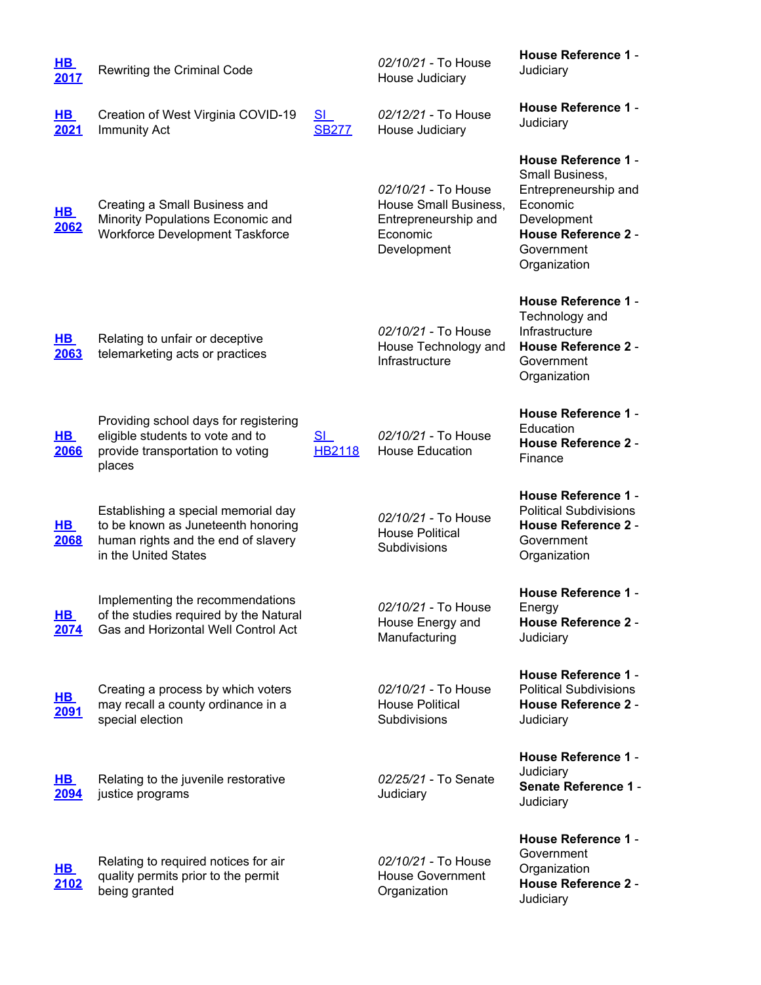| <u>HB_</u><br>2017         | Rewriting the Criminal Code                                                                                                              |                           | 02/10/21 - To House<br>House Judiciary                                                          | House Reference 1 -<br>Judiciary                                                                                                                             |
|----------------------------|------------------------------------------------------------------------------------------------------------------------------------------|---------------------------|-------------------------------------------------------------------------------------------------|--------------------------------------------------------------------------------------------------------------------------------------------------------------|
| $H$ B<br>2021              | Creation of West Virginia COVID-19<br><b>Immunity Act</b>                                                                                | <u>SI</u><br><b>SB277</b> | 02/12/21 - To House<br>House Judiciary                                                          | House Reference 1 -<br>Judiciary                                                                                                                             |
| <u>HB_</u><br>2062         | Creating a Small Business and<br>Minority Populations Economic and<br><b>Workforce Development Taskforce</b>                             |                           | 02/10/21 - To House<br>House Small Business,<br>Entrepreneurship and<br>Economic<br>Development | <b>House Reference 1 -</b><br>Small Business,<br>Entrepreneurship and<br>Economic<br>Development<br><b>House Reference 2 -</b><br>Government<br>Organization |
| $H$ B<br>2063              | Relating to unfair or deceptive<br>telemarketing acts or practices                                                                       |                           | 02/10/21 - To House<br>House Technology and<br>Infrastructure                                   | <b>House Reference 1 -</b><br>Technology and<br>Infrastructure<br><b>House Reference 2 -</b><br>Government<br>Organization                                   |
| $H$ B<br>2066              | Providing school days for registering<br>eligible students to vote and to<br>provide transportation to voting<br>places                  | SI<br><b>HB2118</b>       | 02/10/21 - To House<br><b>House Education</b>                                                   | <b>House Reference 1 -</b><br>Education<br><b>House Reference 2 -</b><br>Finance                                                                             |
| <u>HB</u><br>2068          | Establishing a special memorial day<br>to be known as Juneteenth honoring<br>human rights and the end of slavery<br>in the United States |                           | 02/10/21 - To House<br><b>House Political</b><br>Subdivisions                                   | <b>House Reference 1 -</b><br><b>Political Subdivisions</b><br><b>House Reference 2 -</b><br>Government<br>Organization                                      |
| $H$ B<br>2074              | Implementing the recommendations<br>of the studies required by the Natural<br>Gas and Horizontal Well Control Act                        |                           | 02/10/21 - To House<br>House Energy and<br>Manufacturing                                        | House Reference 1 -<br>Energy<br><b>House Reference 2 -</b><br>Judiciary                                                                                     |
| <u>HB </u><br><u> 2091</u> | Creating a process by which voters<br>may recall a county ordinance in a<br>special election                                             |                           | 02/10/21 - To House<br><b>House Political</b><br>Subdivisions                                   | <b>House Reference 1 -</b><br><b>Political Subdivisions</b><br><b>House Reference 2 -</b><br>Judiciary                                                       |
| <u>HB</u><br>2094          | Relating to the juvenile restorative<br>justice programs                                                                                 |                           | 02/25/21 - To Senate<br>Judiciary                                                               | <b>House Reference 1 -</b><br>Judiciary<br>Senate Reference 1 -<br>Judiciary                                                                                 |
| <u>HB_</u><br>2102         | Relating to required notices for air<br>quality permits prior to the permit<br>being granted                                             |                           | 02/10/21 - To House<br><b>House Government</b><br>Organization                                  | <b>House Reference 1 -</b><br>Government<br>Organization<br><b>House Reference 2 -</b><br>Judiciary                                                          |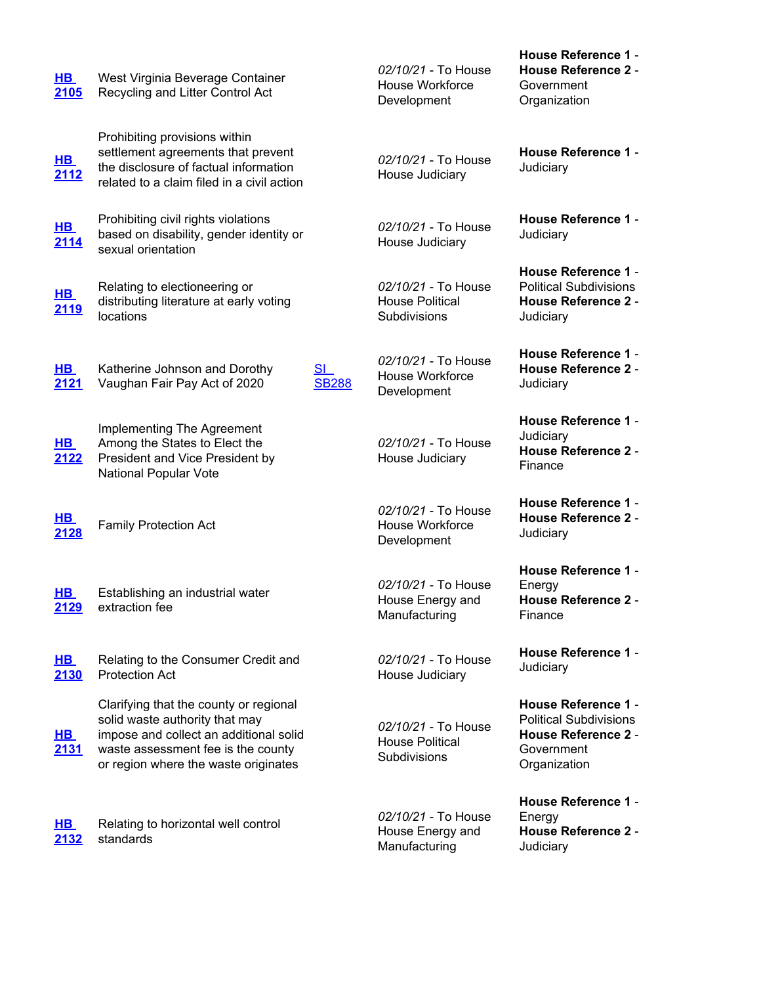| $H$ B<br>2105             | West Virginia Beverage Container<br>Recycling and Litter Control Act                                                                                                                             |                                | 02/10/21 - To House<br>House Workforce<br>Development         | <b>House Reference 2 -</b><br>Government<br>Organization                                                                |
|---------------------------|--------------------------------------------------------------------------------------------------------------------------------------------------------------------------------------------------|--------------------------------|---------------------------------------------------------------|-------------------------------------------------------------------------------------------------------------------------|
| <u>HB</u><br>2112         | Prohibiting provisions within<br>settlement agreements that prevent<br>the disclosure of factual information<br>related to a claim filed in a civil action                                       |                                | 02/10/21 - To House<br>House Judiciary                        | <b>House Reference 1 -</b><br>Judiciary                                                                                 |
| <u>HB.</u><br><u>2114</u> | Prohibiting civil rights violations<br>based on disability, gender identity or<br>sexual orientation                                                                                             |                                | 02/10/21 - To House<br>House Judiciary                        | <b>House Reference 1 -</b><br>Judiciary                                                                                 |
| <u>HB</u><br><u>2119</u>  | Relating to electioneering or<br>distributing literature at early voting<br>locations                                                                                                            |                                | 02/10/21 - To House<br><b>House Political</b><br>Subdivisions | <b>House Reference 1 -</b><br><b>Political Subdivisions</b><br><b>House Reference 2 -</b><br>Judiciary                  |
| $H$ B<br>2121             | Katherine Johnson and Dorothy<br>Vaughan Fair Pay Act of 2020                                                                                                                                    | S <sub>1</sub><br><b>SB288</b> | 02/10/21 - To House<br>House Workforce<br>Development         | <b>House Reference 1 -</b><br><b>House Reference 2 -</b><br>Judiciary                                                   |
| $H$ B<br>2122             | Implementing The Agreement<br>Among the States to Elect the<br>President and Vice President by<br>National Popular Vote                                                                          |                                | 02/10/21 - To House<br>House Judiciary                        | <b>House Reference 1 -</b><br>Judiciary<br><b>House Reference 2 -</b><br>Finance                                        |
| <u>HB</u><br>2128         | <b>Family Protection Act</b>                                                                                                                                                                     |                                | 02/10/21 - To House<br>House Workforce<br>Development         | <b>House Reference 1 -</b><br><b>House Reference 2 -</b><br>Judiciary                                                   |
| <u>HB</u><br>2129         | Establishing an industrial water<br>extraction fee                                                                                                                                               |                                | 02/10/21 - To House<br>House Energy and<br>Manufacturing      | <b>House Reference 1 -</b><br>Energy<br><b>House Reference 2 -</b><br>Finance                                           |
| $H$ B<br>2130             | Relating to the Consumer Credit and<br><b>Protection Act</b>                                                                                                                                     |                                | 02/10/21 - To House<br>House Judiciary                        | <b>House Reference 1 -</b><br>Judiciary                                                                                 |
| <u>HB</u><br>2131         | Clarifying that the county or regional<br>solid waste authority that may<br>impose and collect an additional solid<br>waste assessment fee is the county<br>or region where the waste originates |                                | 02/10/21 - To House<br><b>House Political</b><br>Subdivisions | <b>House Reference 1 -</b><br><b>Political Subdivisions</b><br><b>House Reference 2 -</b><br>Government<br>Organization |
| <u>HB</u><br>2132         | Relating to horizontal well control<br>standards                                                                                                                                                 |                                | 02/10/21 - To House<br>House Energy and<br>Manufacturing      | House Reference 1 -<br>Energy<br><b>House Reference 2 -</b><br>Judiciary                                                |

**House Reference 1** -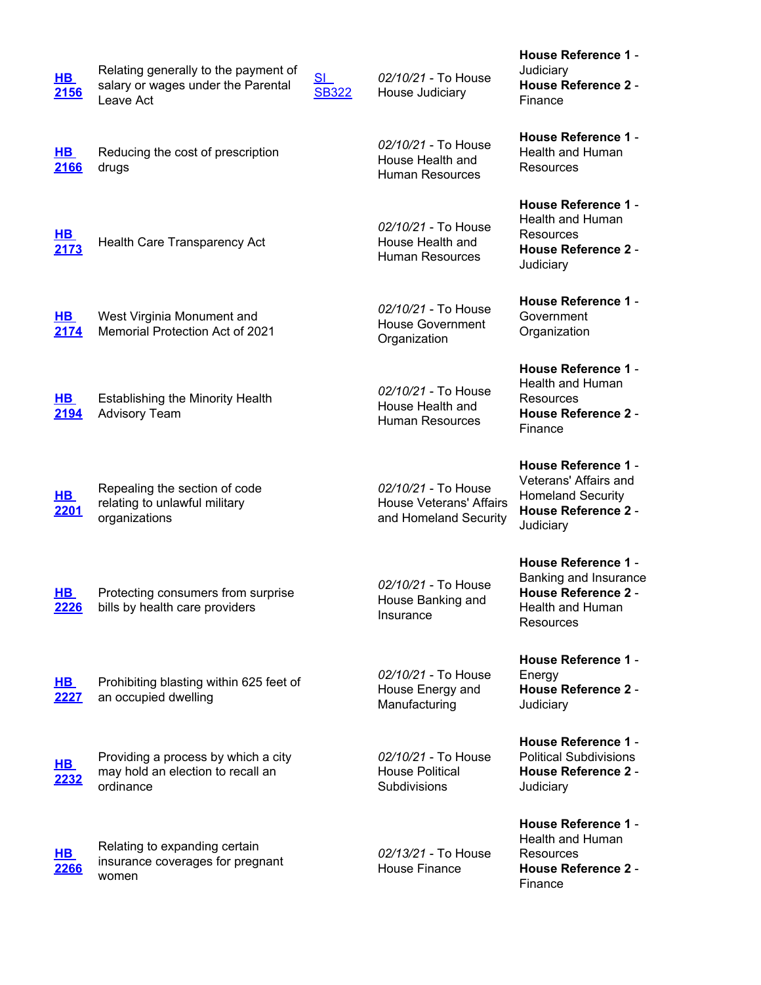| <u>HB</u><br>2156         | Relating generally to the payment of<br>salary or wages under the Parental<br>Leave Act | <u>SI</u><br><b>SB322</b> | 02/10/21 - To House<br>House Judiciary                                         | House Reference 1 -<br>Judiciary<br><b>House Reference 2 -</b><br>Finance                                                  |
|---------------------------|-----------------------------------------------------------------------------------------|---------------------------|--------------------------------------------------------------------------------|----------------------------------------------------------------------------------------------------------------------------|
| <u>HB</u><br>2166         | Reducing the cost of prescription<br>drugs                                              |                           | 02/10/21 - To House<br>House Health and<br><b>Human Resources</b>              | <b>House Reference 1 -</b><br>Health and Human<br>Resources                                                                |
| <u>HB_</u><br>2173        | Health Care Transparency Act                                                            |                           | 02/10/21 - To House<br>House Health and<br><b>Human Resources</b>              | <b>House Reference 1 -</b><br>Health and Human<br>Resources<br><b>House Reference 2 -</b><br>Judiciary                     |
| $H$ B<br>2174             | West Virginia Monument and<br>Memorial Protection Act of 2021                           |                           | 02/10/21 - To House<br><b>House Government</b><br>Organization                 | <b>House Reference 1 -</b><br>Government<br>Organization                                                                   |
| $H$ B<br>2194             | <b>Establishing the Minority Health</b><br><b>Advisory Team</b>                         |                           | 02/10/21 - To House<br>House Health and<br><b>Human Resources</b>              | <b>House Reference 1 -</b><br>Health and Human<br>Resources<br><b>House Reference 2 -</b><br>Finance                       |
| <u>HB</u><br><u> 2201</u> | Repealing the section of code<br>relating to unlawful military<br>organizations         |                           | 02/10/21 - To House<br><b>House Veterans' Affairs</b><br>and Homeland Security | <b>House Reference 1 -</b><br>Veterans' Affairs and<br><b>Homeland Security</b><br><b>House Reference 2 -</b><br>Judiciary |
| $H$ B<br>2226             | Protecting consumers from surprise<br>bills by health care providers                    |                           | 02/10/21 - To House<br>House Banking and<br>Insurance                          | House Reference 1 -<br>Banking and Insurance<br><b>House Reference 2 -</b><br>Health and Human<br>Resources                |
| $H$ B<br>2227             | Prohibiting blasting within 625 feet of<br>an occupied dwelling                         |                           | 02/10/21 - To House<br>House Energy and<br>Manufacturing                       | <b>House Reference 1 -</b><br>Energy<br><b>House Reference 2 -</b><br>Judiciary                                            |
| <u>HB</u><br>2232         | Providing a process by which a city<br>may hold an election to recall an<br>ordinance   |                           | 02/10/21 - To House<br><b>House Political</b><br><b>Subdivisions</b>           | <b>House Reference 1 -</b><br><b>Political Subdivisions</b><br><b>House Reference 2 -</b><br>Judiciary                     |
| <u>HB_</u><br>2266        | Relating to expanding certain<br>insurance coverages for pregnant<br>women              |                           | 02/13/21 - To House<br><b>House Finance</b>                                    | <b>House Reference 1 -</b><br>Health and Human<br>Resources<br><b>House Reference 2 -</b><br>Finance                       |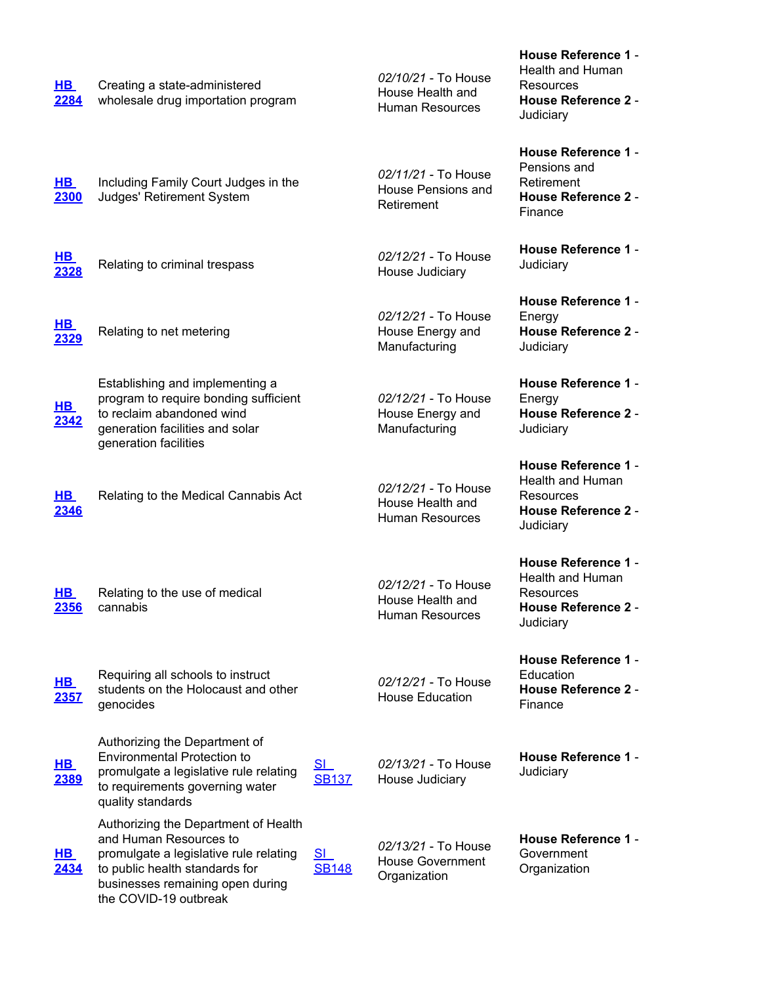| $H$ B<br>2284              | Creating a state-administered<br>wholesale drug importation program                                                                                                                                     |                                | 02/10/21 - To House<br>House Health and<br><b>Human Resources</b> | <b>Health and Human</b><br>Resources<br><b>House Reference 2 -</b><br>Judiciary                               |
|----------------------------|---------------------------------------------------------------------------------------------------------------------------------------------------------------------------------------------------------|--------------------------------|-------------------------------------------------------------------|---------------------------------------------------------------------------------------------------------------|
| $H$ B<br>2300              | Including Family Court Judges in the<br>Judges' Retirement System                                                                                                                                       |                                | 02/11/21 - To House<br>House Pensions and<br>Retirement           | <b>House Reference 1 -</b><br>Pensions and<br>Retirement<br><b>House Reference 2 -</b><br>Finance             |
| <u>HB</u><br><u>2328</u>   | Relating to criminal trespass                                                                                                                                                                           |                                | 02/12/21 - To House<br>House Judiciary                            | <b>House Reference 1 -</b><br>Judiciary                                                                       |
| <u>HB</u><br><u> 2329</u>  | Relating to net metering                                                                                                                                                                                |                                | 02/12/21 - To House<br>House Energy and<br>Manufacturing          | <b>House Reference 1 -</b><br>Energy<br><b>House Reference 2 -</b><br>Judiciary                               |
| <u>HB</u><br>2342          | Establishing and implementing a<br>program to require bonding sufficient<br>to reclaim abandoned wind<br>generation facilities and solar<br>generation facilities                                       |                                | 02/12/21 - To House<br>House Energy and<br>Manufacturing          | <b>House Reference 1 -</b><br>Energy<br><b>House Reference 2 -</b><br>Judiciary                               |
| $H$ B<br>2346              | Relating to the Medical Cannabis Act                                                                                                                                                                    |                                | 02/12/21 - To House<br>House Health and<br><b>Human Resources</b> | <b>House Reference 1 -</b><br>Health and Human<br>Resources<br><b>House Reference 2 -</b><br>Judiciary        |
| <u>HB</u><br>2356          | Relating to the use of medical<br>cannabis                                                                                                                                                              |                                | 02/12/21 - To House<br>House Health and<br><b>Human Resources</b> | <b>House Reference 1 -</b><br><b>Health and Human</b><br>Resources<br><b>House Reference 2 -</b><br>Judiciary |
| <u>HB</u><br><u> 2357 </u> | Requiring all schools to instruct<br>students on the Holocaust and other<br>genocides                                                                                                                   |                                | 02/12/21 - To House<br><b>House Education</b>                     | <b>House Reference 1 -</b><br>Education<br><b>House Reference 2 -</b><br>Finance                              |
| <u>HB</u><br><u>2389</u>   | Authorizing the Department of<br><b>Environmental Protection to</b><br>promulgate a legislative rule relating<br>to requirements governing water<br>quality standards                                   | SL<br><b>SB137</b>             | 02/13/21 - To House<br>House Judiciary                            | House Reference 1 -<br>Judiciary                                                                              |
| <u>HB</u><br>2434          | Authorizing the Department of Health<br>and Human Resources to<br>promulgate a legislative rule relating<br>to public health standards for<br>businesses remaining open during<br>the COVID-19 outbreak | S <sub>1</sub><br><b>SB148</b> | 02/13/21 - To House<br><b>House Government</b><br>Organization    | <b>House Reference 1 -</b><br>Government<br>Organization                                                      |

**House Reference 1** -